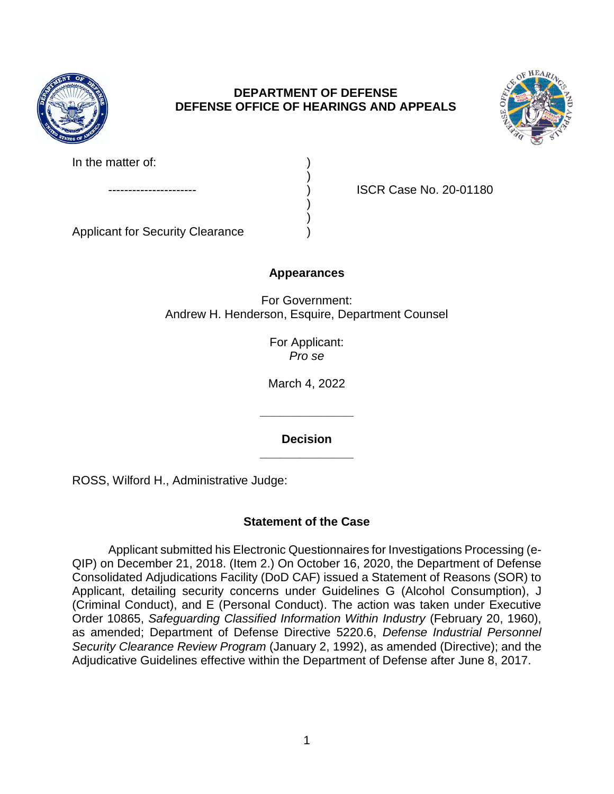

# **DEPARTMENT OF DEFENSE DEFENSE OFFICE OF HEARINGS AND APPEALS**



| In the matter of: |  |
|-------------------|--|
|                   |  |
| ---------         |  |

---------------------- ) ISCR Case No. 20-01180

Applicant for Security Clearance )

# **Appearances**

) )

For Government: Andrew H. Henderson, Esquire, Department Counsel

> For Applicant: *Pro se*

March 4, 2022

**\_\_\_\_\_\_\_\_\_\_\_\_\_\_ Decision** 

**\_\_\_\_\_\_\_\_\_\_\_\_\_\_** 

ROSS, Wilford H., Administrative Judge:

# **Statement of the Case**

 Applicant submitted his Electronic Questionnaires for Investigations Processing (e- Consolidated Adjudications Facility (DoD CAF) issued a Statement of Reasons (SOR) to Applicant, detailing security concerns under Guidelines G (Alcohol Consumption), J (Criminal Conduct), and E (Personal Conduct). The action was taken under Executive  Order 10865, *Safeguarding Classified Information Within Industry* (February 20, 1960), as amended; Department of Defense Directive 5220.6, *Defense Industrial Personnel*  QIP) on December 21, 2018. (Item 2.) On October 16, 2020, the Department of Defense *Security Clearance Review Program* (January 2, 1992), as amended (Directive); and the Adjudicative Guidelines effective within the Department of Defense after June 8, 2017.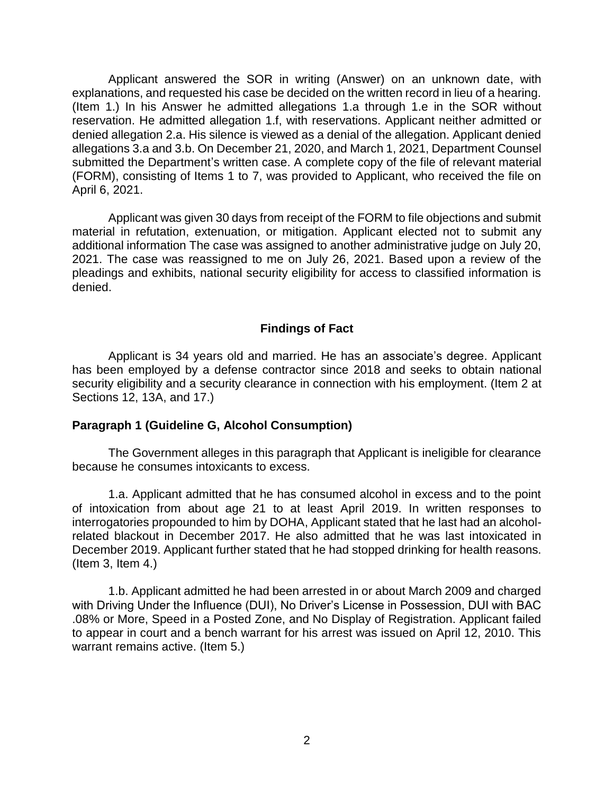Applicant answered the SOR in writing (Answer) on an unknown date, with explanations, and requested his case be decided on the written record in lieu of a hearing. (Item 1.) In his Answer he admitted allegations 1.a through 1.e in the SOR without reservation. He admitted allegation 1.f, with reservations. Applicant neither admitted or denied allegation 2.a. His silence is viewed as a denial of the allegation. Applicant denied allegations 3.a and 3.b. On December 21, 2020, and March 1, 2021, Department Counsel submitted the Department's written case. A complete copy of the file of relevant material (FORM), consisting of Items 1 to 7, was provided to Applicant, who received the file on April 6, 2021.

 Applicant was given 30 days from receipt of the FORM to file objections and submit material in refutation, extenuation, or mitigation. Applicant elected not to submit any additional information The case was assigned to another administrative judge on July 20, 2021. The case was reassigned to me on July 26, 2021. Based upon a review of the pleadings and exhibits, national security eligibility for access to classified information is denied.

### **Findings of Fact**

 Applicant is 34 years old and married. He has an associate's degree. Applicant has been employed by a defense contractor since 2018 and seeks to obtain national security eligibility and a security clearance in connection with his employment. (Item 2 at Sections 12, 13A, and 17.)

#### **Paragraph 1 (Guideline G, Alcohol Consumption)**

 The Government alleges in this paragraph that Applicant is ineligible for clearance because he consumes intoxicants to excess.

 1.a. Applicant admitted that he has consumed alcohol in excess and to the point of intoxication from about age 21 to at least April 2019. In written responses to interrogatories propounded to him by DOHA, Applicant stated that he last had an alcohol- related blackout in December 2017. He also admitted that he was last intoxicated in December 2019. Applicant further stated that he had stopped drinking for health reasons. (Item 3, Item 4.)

1.b. Applicant admitted he had been arrested in or about March 2009 and charged with Driving Under the Influence (DUI), No Driver's License in Possession, DUI with BAC .08% or More, Speed in a Posted Zone, and No Display of Registration. Applicant failed to appear in court and a bench warrant for his arrest was issued on April 12, 2010. This warrant remains active. (Item 5.)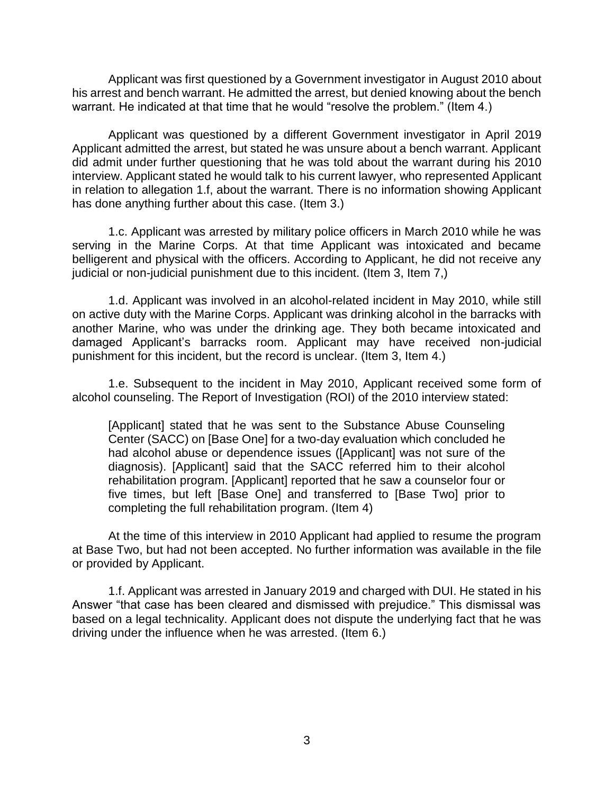Applicant was first questioned by a Government investigator in August 2010 about his arrest and bench warrant. He admitted the arrest, but denied knowing about the bench warrant. He indicated at that time that he would "resolve the problem." (Item 4.)

 Applicant was questioned by a different Government investigator in April 2019 Applicant admitted the arrest, but stated he was unsure about a bench warrant. Applicant did admit under further questioning that he was told about the warrant during his 2010 interview. Applicant stated he would talk to his current lawyer, who represented Applicant in relation to allegation 1.f, about the warrant. There is no information showing Applicant has done anything further about this case. (Item 3.)

 1.c. Applicant was arrested by military police officers in March 2010 while he was serving in the Marine Corps. At that time Applicant was intoxicated and became belligerent and physical with the officers. According to Applicant, he did not receive any judicial or non-judicial punishment due to this incident. (Item 3, Item 7,)

 1.d. Applicant was involved in an alcohol-related incident in May 2010, while still another Marine, who was under the drinking age. They both became intoxicated and damaged Applicant's barracks room. Applicant may have received non-judicial on active duty with the Marine Corps. Applicant was drinking alcohol in the barracks with punishment for this incident, but the record is unclear. (Item 3, Item 4.)

 1.e. Subsequent to the incident in May 2010, Applicant received some form of alcohol counseling. The Report of Investigation (ROI) of the 2010 interview stated:

 [Applicant] stated that he was sent to the Substance Abuse Counseling Center (SACC) on [Base One] for a two-day evaluation which concluded he had alcohol abuse or dependence issues ([Applicant] was not sure of the diagnosis). [Applicant] said that the SACC referred him to their alcohol rehabilitation program. [Applicant] reported that he saw a counselor four or five times, but left [Base One] and transferred to [Base Two] prior to completing the full rehabilitation program. (Item 4)

 At the time of this interview in 2010 Applicant had applied to resume the program at Base Two, but had not been accepted. No further information was available in the file or provided by Applicant.

1.f. Applicant was arrested in January 2019 and charged with DUI. He stated in his Answer "that case has been cleared and dismissed with prejudice." This dismissal was based on a legal technicality. Applicant does not dispute the underlying fact that he was driving under the influence when he was arrested. (Item 6.)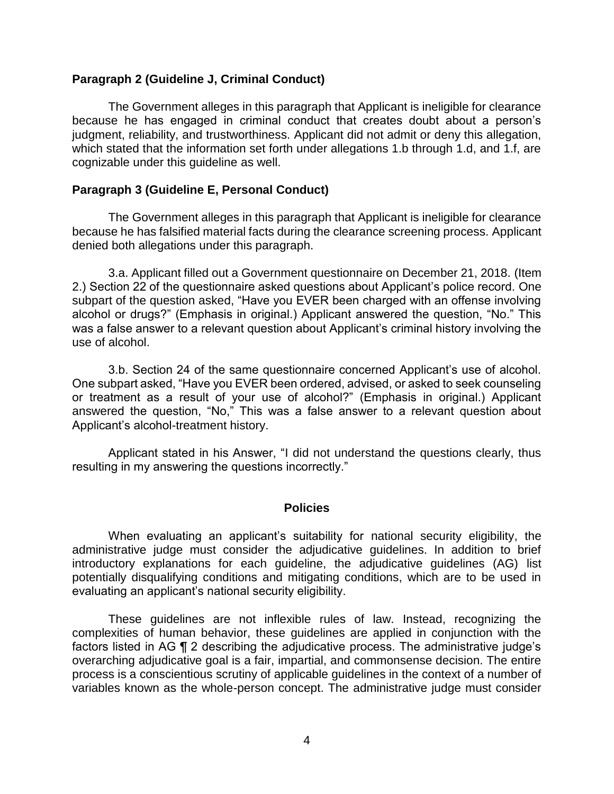### **Paragraph 2 (Guideline J, Criminal Conduct)**

 The Government alleges in this paragraph that Applicant is ineligible for clearance because he has engaged in criminal conduct that creates doubt about a person's which stated that the information set forth under allegations 1.b through 1.d, and 1.f, are judgment, reliability, and trustworthiness. Applicant did not admit or deny this allegation, cognizable under this guideline as well.

### **Paragraph 3 (Guideline E, Personal Conduct)**

 The Government alleges in this paragraph that Applicant is ineligible for clearance because he has falsified material facts during the clearance screening process. Applicant denied both allegations under this paragraph.

 3.a. Applicant filled out a Government questionnaire on December 21, 2018. (Item 2.) Section 22 of the questionnaire asked questions about Applicant's police record. One subpart of the question asked, "Have you EVER been charged with an offense involving alcohol or drugs?" (Emphasis in original.) Applicant answered the question, "No." This was a false answer to a relevant question about Applicant's criminal history involving the use of alcohol.

 3.b. Section 24 of the same questionnaire concerned Applicant's use of alcohol. One subpart asked, "Have you EVER been ordered, advised, or asked to seek counseling answered the question, "No," This was a false answer to a relevant question about or treatment as a result of your use of alcohol?" (Emphasis in original.) Applicant Applicant's alcohol-treatment history.

 Applicant stated in his Answer, "I did not understand the questions clearly, thus resulting in my answering the questions incorrectly."

#### **Policies**

 When evaluating an applicant's suitability for national security eligibility, the administrative judge must consider the adjudicative guidelines. In addition to brief potentially disqualifying conditions and mitigating conditions, which are to be used in introductory explanations for each guideline, the adjudicative guidelines (AG) list evaluating an applicant's national security eligibility.

 These guidelines are not inflexible rules of law. Instead, recognizing the complexities of human behavior, these guidelines are applied in conjunction with the factors listed in AG ¶ 2 describing the adjudicative process. The administrative judge's overarching adjudicative goal is a fair, impartial, and commonsense decision. The entire variables known as the whole-person concept. The administrative judge must consider process is a conscientious scrutiny of applicable guidelines in the context of a number of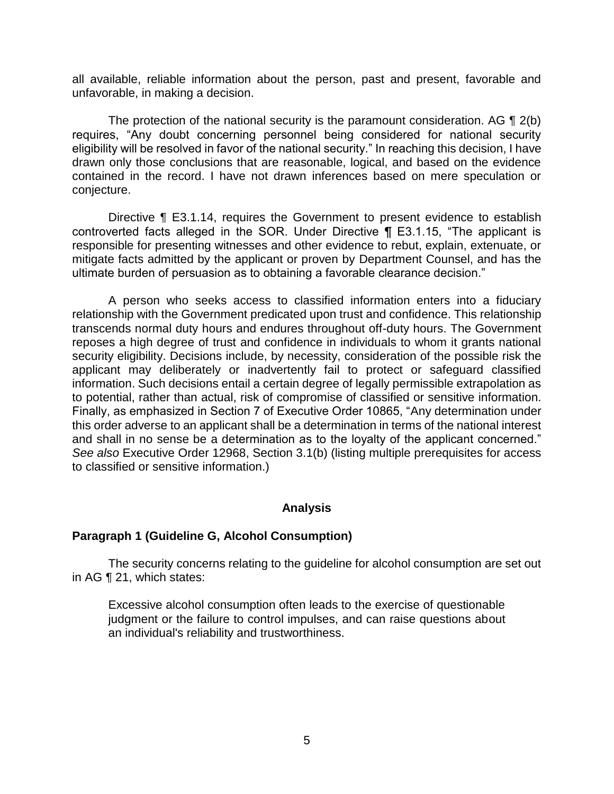all available, reliable information about the person, past and present, favorable and unfavorable, in making a decision.

The protection of the national security is the paramount consideration. AG  $\P$  2(b) requires, "Any doubt concerning personnel being considered for national security eligibility will be resolved in favor of the national security." In reaching this decision, I have drawn only those conclusions that are reasonable, logical, and based on the evidence contained in the record. I have not drawn inferences based on mere speculation or conjecture.

Directive ¶ E3.1.14, requires the Government to present evidence to establish controverted facts alleged in the SOR. Under Directive ¶ E3.1.15, "The applicant is responsible for presenting witnesses and other evidence to rebut, explain, extenuate, or mitigate facts admitted by the applicant or proven by Department Counsel, and has the ultimate burden of persuasion as to obtaining a favorable clearance decision."

 A person who seeks access to classified information enters into a fiduciary relationship with the Government predicated upon trust and confidence. This relationship transcends normal duty hours and endures throughout off-duty hours. The Government reposes a high degree of trust and confidence in individuals to whom it grants national security eligibility. Decisions include, by necessity, consideration of the possible risk the applicant may deliberately or inadvertently fail to protect or safeguard classified information. Such decisions entail a certain degree of legally permissible extrapolation as to potential, rather than actual, risk of compromise of classified or sensitive information. Finally, as emphasized in Section 7 of Executive Order 10865, "Any determination under this order adverse to an applicant shall be a determination in terms of the national interest and shall in no sense be a determination as to the loyalty of the applicant concerned." *See also* Executive Order 12968, Section 3.1(b) (listing multiple prerequisites for access to classified or sensitive information.)

## **Analysis**

## **Paragraph 1 (Guideline G, Alcohol Consumption)**

 The security concerns relating to the guideline for alcohol consumption are set out in AG ¶ 21, which states:

 Excessive alcohol consumption often leads to the exercise of questionable judgment or the failure to control impulses, and can raise questions about an individual's reliability and trustworthiness.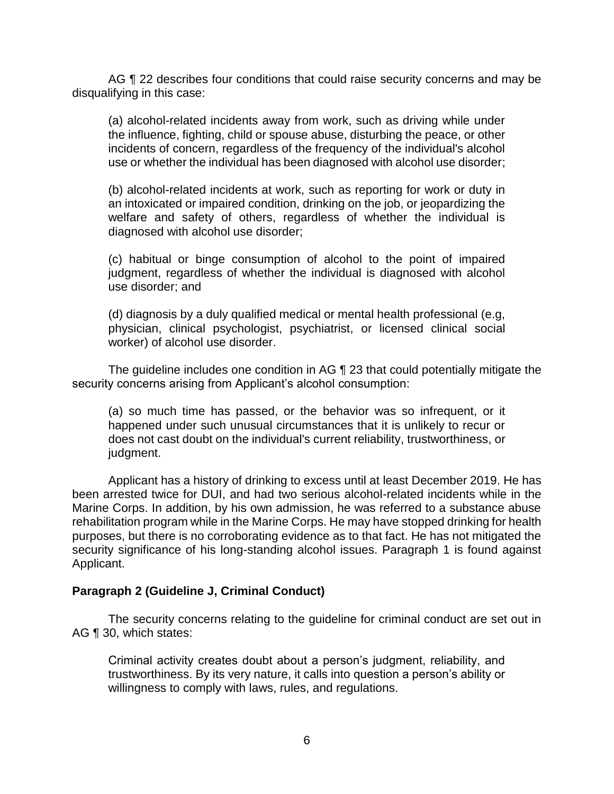AG ¶ 22 describes four conditions that could raise security concerns and may be disqualifying in this case:

 (a) alcohol-related incidents away from work, such as driving while under the influence, fighting, child or spouse abuse, disturbing the peace, or other incidents of concern, regardless of the frequency of the individual's alcohol use or whether the individual has been diagnosed with alcohol use disorder;

 (b) alcohol-related incidents at work, such as reporting for work or duty in an intoxicated or impaired condition, drinking on the job, or jeopardizing the welfare and safety of others, regardless of whether the individual is diagnosed with alcohol use disorder;

 (c) habitual or binge consumption of alcohol to the point of impaired judgment, regardless of whether the individual is diagnosed with alcohol use disorder; and

 (d) diagnosis by a duly qualified medical or mental health professional (e.g, physician, clinical psychologist, psychiatrist, or licensed clinical social worker) of alcohol use disorder.

The guideline includes one condition in AG ¶ 23 that could potentially mitigate the security concerns arising from Applicant's alcohol consumption:

 (a) so much time has passed, or the behavior was so infrequent, or it happened under such unusual circumstances that it is unlikely to recur or does not cast doubt on the individual's current reliability, trustworthiness, or judgment.

 Applicant has a history of drinking to excess until at least December 2019. He has been arrested twice for DUI, and had two serious alcohol-related incidents while in the Marine Corps. In addition, by his own admission, he was referred to a substance abuse rehabilitation program while in the Marine Corps. He may have stopped drinking for health purposes, but there is no corroborating evidence as to that fact. He has not mitigated the security significance of his long-standing alcohol issues. Paragraph 1 is found against Applicant.

## **Paragraph 2 (Guideline J, Criminal Conduct)**

 The security concerns relating to the guideline for criminal conduct are set out in AG ¶ 30, which states:

 trustworthiness. By its very nature, it calls into question a person's ability or Criminal activity creates doubt about a person's judgment, reliability, and willingness to comply with laws, rules, and regulations.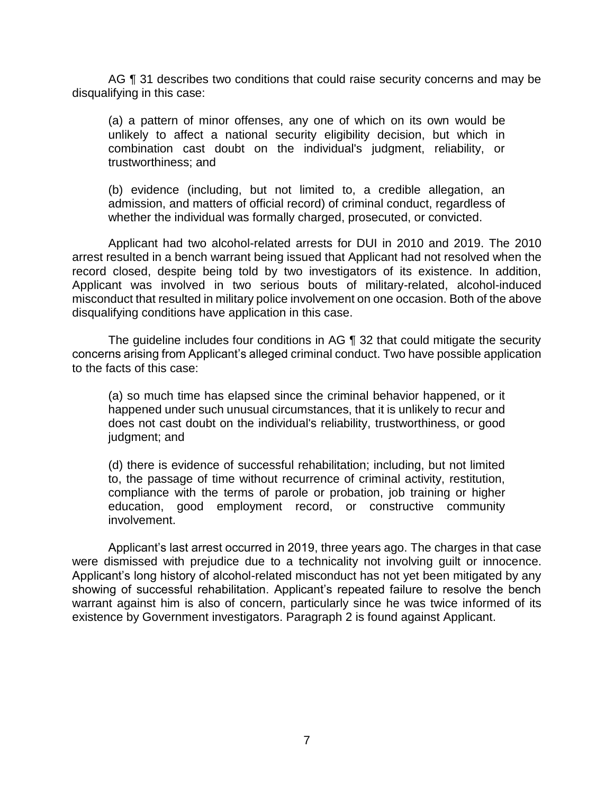AG ¶ 31 describes two conditions that could raise security concerns and may be disqualifying in this case:

 (a) a pattern of minor offenses, any one of which on its own would be unlikely to affect a national security eligibility decision, but which in combination cast doubt on the individual's judgment, reliability, or trustworthiness; and

 (b) evidence (including, but not limited to, a credible allegation, an admission, and matters of official record) of criminal conduct, regardless of whether the individual was formally charged, prosecuted, or convicted.

 Applicant had two alcohol-related arrests for DUI in 2010 and 2019. The 2010 arrest resulted in a bench warrant being issued that Applicant had not resolved when the record closed, despite being told by two investigators of its existence. In addition, Applicant was involved in two serious bouts of military-related, alcohol-induced misconduct that resulted in military police involvement on one occasion. Both of the above disqualifying conditions have application in this case.

 The guideline includes four conditions in AG ¶ 32 that could mitigate the security concerns arising from Applicant's alleged criminal conduct. Two have possible application to the facts of this case:

 (a) so much time has elapsed since the criminal behavior happened, or it happened under such unusual circumstances, that it is unlikely to recur and does not cast doubt on the individual's reliability, trustworthiness, or good judgment; and

 (d) there is evidence of successful rehabilitation; including, but not limited to, the passage of time without recurrence of criminal activity, restitution, compliance with the terms of parole or probation, job training or higher education, good employment record, or constructive community involvement.

 Applicant's last arrest occurred in 2019, three years ago. The charges in that case were dismissed with prejudice due to a technicality not involving guilt or innocence. Applicant's long history of alcohol-related misconduct has not yet been mitigated by any showing of successful rehabilitation. Applicant's repeated failure to resolve the bench warrant against him is also of concern, particularly since he was twice informed of its existence by Government investigators. Paragraph 2 is found against Applicant.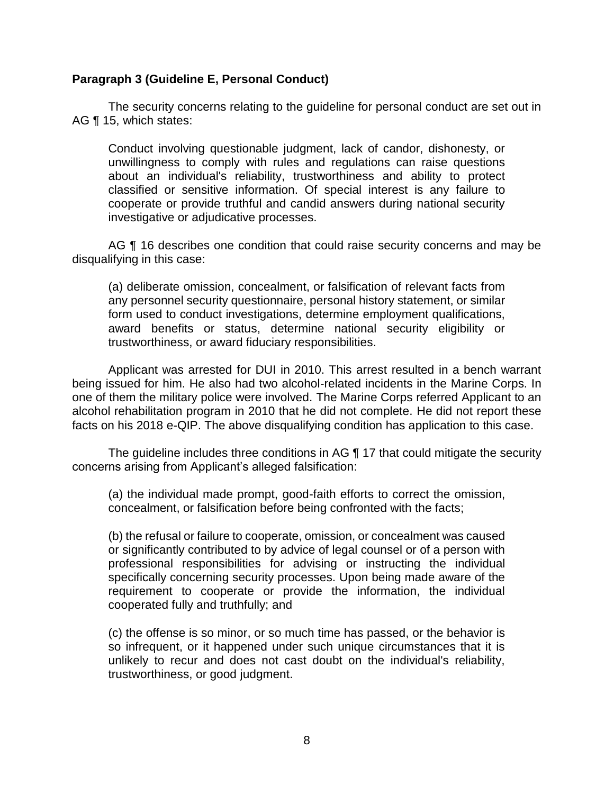## **Paragraph 3 (Guideline E, Personal Conduct)**

 The security concerns relating to the guideline for personal conduct are set out in AG ¶ 15, which states:

 Conduct involving questionable judgment, lack of candor, dishonesty, or unwillingness to comply with rules and regulations can raise questions about an individual's reliability, trustworthiness and ability to protect classified or sensitive information. Of special interest is any failure to cooperate or provide truthful and candid answers during national security investigative or adjudicative processes.

AG ¶ 16 describes one condition that could raise security concerns and may be disqualifying in this case:

 any personnel security questionnaire, personal history statement, or similar form used to conduct investigations, determine employment qualifications, award benefits or status, determine national security eligibility or (a) deliberate omission, concealment, or falsification of relevant facts from trustworthiness, or award fiduciary responsibilities.

 Applicant was arrested for DUI in 2010. This arrest resulted in a bench warrant being issued for him. He also had two alcohol-related incidents in the Marine Corps. In one of them the military police were involved. The Marine Corps referred Applicant to an alcohol rehabilitation program in 2010 that he did not complete. He did not report these facts on his 2018 e-QIP. The above disqualifying condition has application to this case.

The guideline includes three conditions in AG 17 that could mitigate the security concerns arising from Applicant's alleged falsification:

 (a) the individual made prompt, good-faith efforts to correct the omission, concealment, or falsification before being confronted with the facts;

 (b) the refusal or failure to cooperate, omission, or concealment was caused or significantly contributed to by advice of legal counsel or of a person with professional responsibilities for advising or instructing the individual specifically concerning security processes. Upon being made aware of the requirement to cooperate or provide the information, the individual cooperated fully and truthfully; and

 (c) the offense is so minor, or so much time has passed, or the behavior is so infrequent, or it happened under such unique circumstances that it is unlikely to recur and does not cast doubt on the individual's reliability, trustworthiness, or good judgment.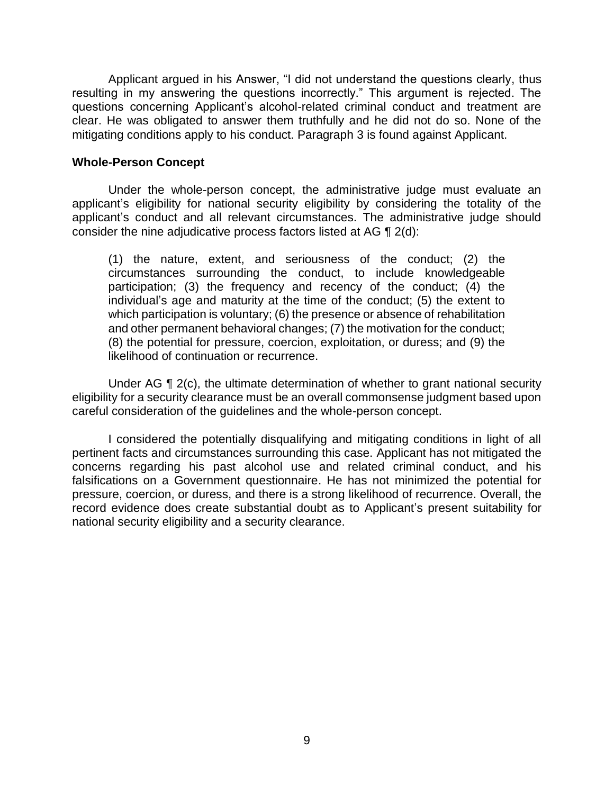Applicant argued in his Answer, "I did not understand the questions clearly, thus resulting in my answering the questions incorrectly." This argument is rejected. The questions concerning Applicant's alcohol-related criminal conduct and treatment are clear. He was obligated to answer them truthfully and he did not do so. None of the mitigating conditions apply to his conduct. Paragraph 3 is found against Applicant.

#### **Whole-Person Concept**

 Under the whole-person concept, the administrative judge must evaluate an applicant's eligibility for national security eligibility by considering the totality of the applicant's conduct and all relevant circumstances. The administrative judge should consider the nine adjudicative process factors listed at AG ¶ 2(d):

(1) the nature, extent, and seriousness of the conduct; (2) the circumstances surrounding the conduct, to include knowledgeable participation; (3) the frequency and recency of the conduct; (4) the individual's age and maturity at the time of the conduct; (5) the extent to which participation is voluntary; (6) the presence or absence of rehabilitation and other permanent behavioral changes; (7) the motivation for the conduct; (8) the potential for pressure, coercion, exploitation, or duress; and (9) the likelihood of continuation or recurrence.

Under AG ¶ 2(c), the ultimate determination of whether to grant national security eligibility for a security clearance must be an overall commonsense judgment based upon careful consideration of the guidelines and the whole-person concept.

 I considered the potentially disqualifying and mitigating conditions in light of all concerns regarding his past alcohol use and related criminal conduct, and his falsifications on a Government questionnaire. He has not minimized the potential for pressure, coercion, or duress, and there is a strong likelihood of recurrence. Overall, the record evidence does create substantial doubt as to Applicant's present suitability for pertinent facts and circumstances surrounding this case. Applicant has not mitigated the national security eligibility and a security clearance.